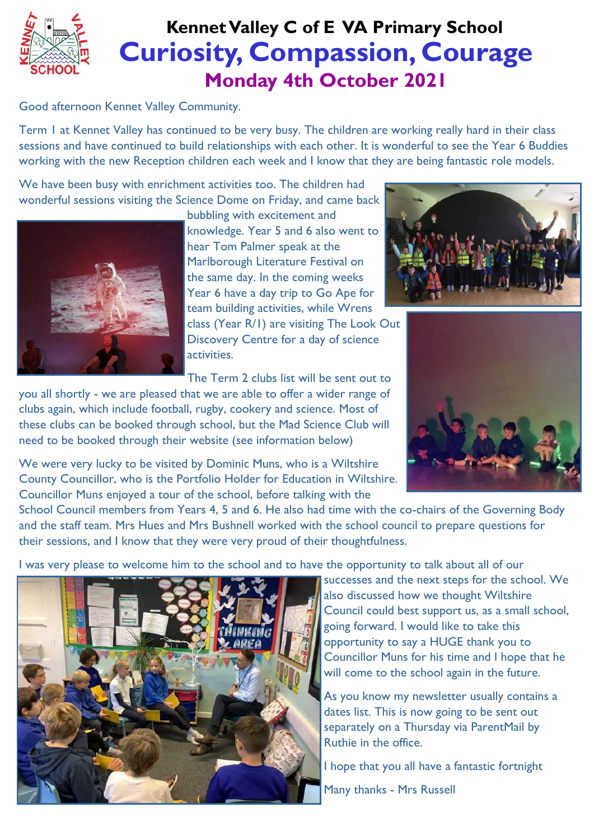

## **Curiosity, Compassion, Courage Monday 4th October 2021 Kennet Valley C of E VA Primary School**

Good afternoon Kennet Valley Community.

Term 1 at Kennet Valley has continued to be very busy. The children are working really hard in their class sessions and have continued to build relationships with each other. It is wonderful to see the Year 6 Buddies working with the new Reception children each week and I know that they are being fantastic role models.

We have been busy with enrichment activities too. The children had wonderful sessions visiting the Science Dome on Friday, and came back



bubbling with excitement and knowledge. Year 5 and 6 also went to hear Tom Palmer speak at the Marlborough Literature Festival on the same day. In the coming weeks Year 6 have a day trip to Go Ape for team building activities, while Wrens class (Year R/1) are visiting The Look Out Discovery Centre for a day of science activities.

The Term 2 clubs list will be sent out to

you all shortly - we are pleased that we are able to offer a wider range of clubs again, which include football, rugby, cookery and science. Most of these clubs can be booked through school, but the Mad Science Club will need to be booked through their website (see information below)

We were very lucky to be visited by Dominic Muns, who is a Wiltshire County Councillor, who is the Portfolio Holder for Education in Wiltshire. Councillor Muns enjoyed a tour of the school, before talking with the





School Council members from Years 4, 5 and 6. He also had time with the co-chairs of the Governing Body and the staff team. Mrs Hues and Mrs Bushnell worked with the school council to prepare questions for their sessions, and I know that they were very proud of their thoughtfulness.

I was very please to welcome him to the school and to have the opportunity to talk about all of our



successes and the next steps for the school. We also discussed how we thought Wiltshire Council could best support us, as a small school, going forward. I would like to take this opportunity to say a HUGE thank you to Councillor Muns for his time and I hope that he will come to the school again in the future.

As you know my newsletter usually contains a dates list. This is now going to be sent out separately on a Thursday via ParentMail by Ruthie in the office.

I hope that you all have a fantastic fortnight Many thanks - Mrs Russell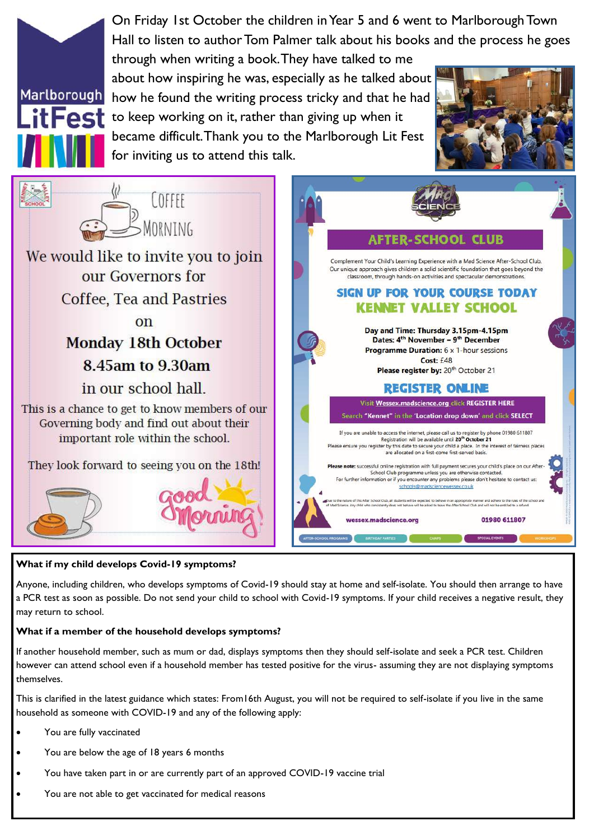

## **What if my child develops Covid-19 symptoms?**

Anyone, including children, who develops symptoms of Covid-19 should stay at home and self-isolate. You should then arrange to have a PCR test as soon as possible. Do not send your child to school with Covid-19 symptoms. If your child receives a negative result, they may return to school.

## **What if a member of the household develops symptoms?**

If another household member, such as mum or dad, displays symptoms then they should self-isolate and seek a PCR test. Children however can attend school even if a household member has tested positive for the virus- assuming they are not displaying symptoms themselves.

This is clarified in the latest guidance which states: From16th August, you will not be required to self-isolate if you live in the same household as someone with COVID-19 and any of the following apply:

- You are fully vaccinated
- You are below the age of 18 years 6 months
- You have taken part in or are currently part of an approved COVID-19 vaccine trial
- You are not able to get vaccinated for medical reasons